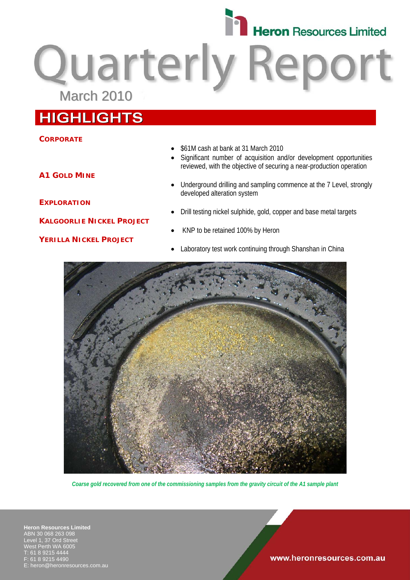

Quarterly Report

# **HIGHLIGHTS**

## **CORPORATE**

## • \$61M cash at bank at 31 March 2010

- Significant number of acquisition and/or development opportunities reviewed, with the objective of securing a near-production operation
- Underground drilling and sampling commence at the 7 Level, strongly developed alteration system
- Drill testing nickel sulphide, gold, copper and base metal targets
- KNP to be retained 100% by Heron
- Laboratory test work continuing through Shanshan in China



*Coarse gold recovered from one of the commissioning samples from the gravity circuit of the A1 sample plant* 

**Heron Resources Limited**  ABN 30 068 263 098 Level 1, 37 Ord Street West Perth WA 6005 T: 61 8 9215 4444 F: 61 8 9215 4490 heron@heronresources.com.au

### www.heronresources.com.au

**A1 GOLD MINE**

**EXPLORATION**

**KALGOORLIE NICKEL PROJECT**

## **YERILLA NICKEL PROJECT**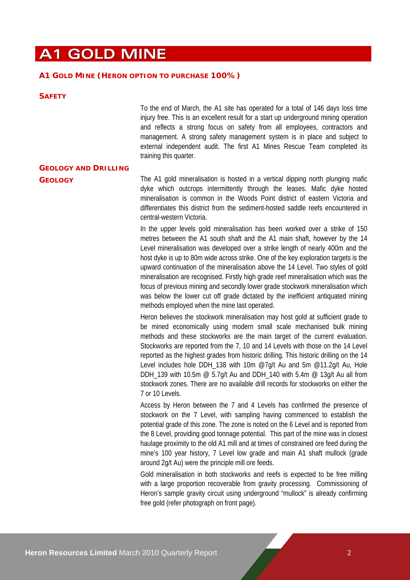# **A1 GOLD MINE**

### **A1 GOLD MINE (HERON OPTION TO PURCHASE 100%)**

#### **SAFETY**

To the end of March, the A1 site has operated for a total of 146 days loss time injury free. This is an excellent result for a start up underground mining operation and reflects a strong focus on safety from all employees, contractors and management. A strong safety management system is in place and subject to external independent audit. The first A1 Mines Rescue Team completed its training this quarter.

# **GEOLOGY AND DRILLING**

**GEOLOGY** The A1 gold mineralisation is hosted in a vertical dipping north plunging mafic dyke which outcrops intermittently through the leases. Mafic dyke hosted mineralisation is common in the Woods Point district of eastern Victoria and differentiates this district from the sediment-hosted saddle reefs encountered in central-western Victoria.

> In the upper levels gold mineralisation has been worked over a strike of 150 metres between the A1 south shaft and the A1 main shaft, however by the 14 Level mineralisation was developed over a strike length of nearly 400m and the host dyke is up to 80m wide across strike. One of the key exploration targets is the upward continuation of the mineralisation above the 14 Level. Two styles of gold mineralisation are recognised. Firstly high grade reef mineralisation which was the focus of previous mining and secondly lower grade stockwork mineralisation which was below the lower cut off grade dictated by the inefficient antiquated mining methods employed when the mine last operated.

> Heron believes the stockwork mineralisation may host gold at sufficient grade to be mined economically using modern small scale mechanised bulk mining methods and these stockworks are the main target of the current evaluation. Stockworks are reported from the 7, 10 and 14 Levels with those on the 14 Level reported as the highest grades from historic drilling. This historic drilling on the 14 Level includes hole DDH\_138 with 10m @7g/t Au and 5m @11.2g/t Au, Hole DDH 139 with 10.5m  $\omega$  5.7g/t Au and DDH 140 with 5.4m  $\omega$  13g/t Au all from stockwork zones. There are no available drill records for stockworks on either the 7 or 10 Levels.

> Access by Heron between the 7 and 4 Levels has confirmed the presence of stockwork on the 7 Level, with sampling having commenced to establish the potential grade of this zone. The zone is noted on the 6 Level and is reported from the 8 Level, providing good tonnage potential. This part of the mine was in closest haulage proximity to the old A1 mill and at times of constrained ore feed during the mine's 100 year history, 7 Level low grade and main A1 shaft mullock (grade around 2g/t Au) were the principle mill ore feeds.

> Gold mineralisation in both stockworks and reefs is expected to be free milling with a large proportion recoverable from gravity processing. Commissioning of Heron's sample gravity circuit using underground "mullock" is already confirming free gold (refer photograph on front page).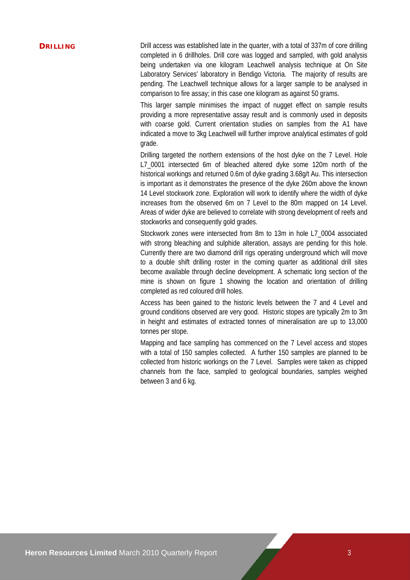**DRILLING** Drill access was established late in the quarter, with a total of 337m of core drilling completed in 6 drillholes. Drill core was logged and sampled, with gold analysis being undertaken via one kilogram Leachwell analysis technique at On Site Laboratory Services' laboratory in Bendigo Victoria. The majority of results are pending. The Leachwell technique allows for a larger sample to be analysed in comparison to fire assay; in this case one kilogram as against 50 grams.

> This larger sample minimises the impact of nugget effect on sample results providing a more representative assay result and is commonly used in deposits with coarse gold. Current orientation studies on samples from the A1 have indicated a move to 3kg Leachwell will further improve analytical estimates of gold grade.

> Drilling targeted the northern extensions of the host dyke on the 7 Level. Hole L7\_0001 intersected 6m of bleached altered dyke some 120m north of the historical workings and returned 0.6m of dyke grading 3.68g/t Au. This intersection is important as it demonstrates the presence of the dyke 260m above the known 14 Level stockwork zone. Exploration will work to identify where the width of dyke increases from the observed 6m on 7 Level to the 80m mapped on 14 Level. Areas of wider dyke are believed to correlate with strong development of reefs and stockworks and consequently gold grades.

> Stockwork zones were intersected from 8m to 13m in hole L7\_0004 associated with strong bleaching and sulphide alteration, assays are pending for this hole. Currently there are two diamond drill rigs operating underground which will move to a double shift drilling roster in the coming quarter as additional drill sites become available through decline development. A schematic long section of the mine is shown on figure 1 showing the location and orientation of drilling completed as red coloured drill holes.

> Access has been gained to the historic levels between the 7 and 4 Level and ground conditions observed are very good. Historic stopes are typically 2m to 3m in height and estimates of extracted tonnes of mineralisation are up to 13,000 tonnes per stope.

> Mapping and face sampling has commenced on the 7 Level access and stopes with a total of 150 samples collected. A further 150 samples are planned to be collected from historic workings on the 7 Level. Samples were taken as chipped channels from the face, sampled to geological boundaries, samples weighed between 3 and 6 kg.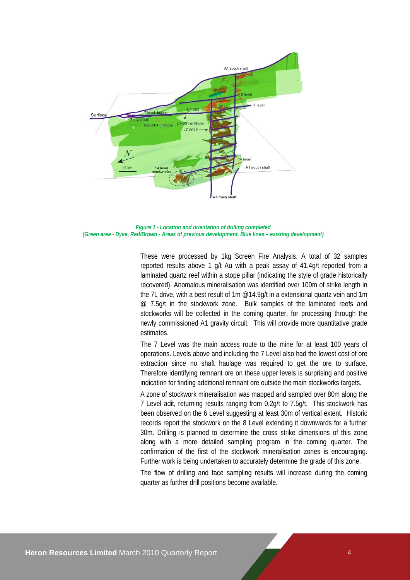

*Figure 1 - Location and orientation of drilling completed (Green area - Dyke, Red/Brown - Areas of previous development, Blue lines – existing development)* 

These were processed by 1kg Screen Fire Analysis. A total of 32 samples reported results above 1 g/t Au with a peak assay of 41.4g/t reported from a laminated quartz reef within a stope pillar (indicating the style of grade historically recovered). Anomalous mineralisation was identified over 100m of strike length in the 7L drive, with a best result of 1m @14.9g/t in a extensional quartz vein and 1m @ 7.5g/t in the stockwork zone. Bulk samples of the laminated reefs and stockworks will be collected in the coming quarter, for processing through the newly commissioned A1 gravity circuit. This will provide more quantitative grade estimates.

The 7 Level was the main access route to the mine for at least 100 years of operations. Levels above and including the 7 Level also had the lowest cost of ore extraction since no shaft haulage was required to get the ore to surface. Therefore identifying remnant ore on these upper levels is surprising and positive indication for finding additional remnant ore outside the main stockworks targets.

A zone of stockwork mineralisation was mapped and sampled over 80m along the 7 Level adit, returning results ranging from 0.2g/t to 7.5g/t. This stockwork has been observed on the 6 Level suggesting at least 30m of vertical extent. Historic records report the stockwork on the 8 Level extending it downwards for a further 30m. Drilling is planned to determine the cross strike dimensions of this zone along with a more detailed sampling program in the coming quarter. The confirmation of the first of the stockwork mineralisation zones is encouraging. Further work is being undertaken to accurately determine the grade of this zone.

The flow of drilling and face sampling results will increase during the coming quarter as further drill positions become available.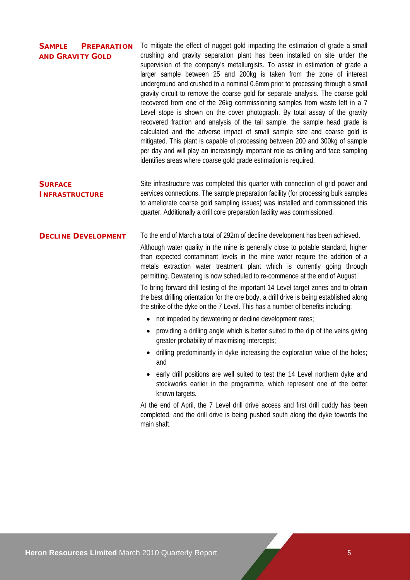| <b>SAMPLE</b><br><b>PREPARATION</b><br><b>AND GRAVITY GOLD</b> | To mitigate the effect of nugget gold impacting the estimation of grade a small<br>crushing and gravity separation plant has been installed on site under the<br>supervision of the company's metallurgists. To assist in estimation of grade a<br>larger sample between 25 and 200kg is taken from the zone of interest<br>underground and crushed to a nominal 0.6mm prior to processing through a small<br>gravity circuit to remove the coarse gold for separate analysis. The coarse gold<br>recovered from one of the 26kg commissioning samples from waste left in a 7<br>Level stope is shown on the cover photograph. By total assay of the gravity<br>recovered fraction and analysis of the tail sample, the sample head grade is<br>calculated and the adverse impact of small sample size and coarse gold is<br>mitigated. This plant is capable of processing between 200 and 300kg of sample<br>per day and will play an increasingly important role as drilling and face sampling<br>identifies areas where coarse gold grade estimation is required.                                                                                                                                                                                                                                                                            |
|----------------------------------------------------------------|--------------------------------------------------------------------------------------------------------------------------------------------------------------------------------------------------------------------------------------------------------------------------------------------------------------------------------------------------------------------------------------------------------------------------------------------------------------------------------------------------------------------------------------------------------------------------------------------------------------------------------------------------------------------------------------------------------------------------------------------------------------------------------------------------------------------------------------------------------------------------------------------------------------------------------------------------------------------------------------------------------------------------------------------------------------------------------------------------------------------------------------------------------------------------------------------------------------------------------------------------------------------------------------------------------------------------------------------------|
| <b>SURFACE</b><br><b>INFRASTRUCTURE</b>                        | Site infrastructure was completed this quarter with connection of grid power and<br>services connections. The sample preparation facility (for processing bulk samples<br>to ameliorate coarse gold sampling issues) was installed and commissioned this<br>quarter. Additionally a drill core preparation facility was commissioned.                                                                                                                                                                                                                                                                                                                                                                                                                                                                                                                                                                                                                                                                                                                                                                                                                                                                                                                                                                                                            |
| <b>DECLINE DEVELOPMENT</b>                                     | To the end of March a total of 292m of decline development has been achieved.<br>Although water quality in the mine is generally close to potable standard, higher<br>than expected contaminant levels in the mine water require the addition of a<br>metals extraction water treatment plant which is currently going through<br>permitting. Dewatering is now scheduled to re-commence at the end of August.<br>To bring forward drill testing of the important 14 Level target zones and to obtain<br>the best drilling orientation for the ore body, a drill drive is being established along<br>the strike of the dyke on the 7 Level. This has a number of benefits including:<br>not impeded by dewatering or decline development rates;<br>providing a drilling angle which is better suited to the dip of the veins giving<br>greater probability of maximising intercepts;<br>drilling predominantly in dyke increasing the exploration value of the holes;<br>and<br>early drill positions are well suited to test the 14 Level northern dyke and<br>stockworks earlier in the programme, which represent one of the better<br>known targets.<br>At the end of April, the 7 Level drill drive access and first drill cuddy has been<br>completed, and the drill drive is being pushed south along the dyke towards the<br>main shaft. |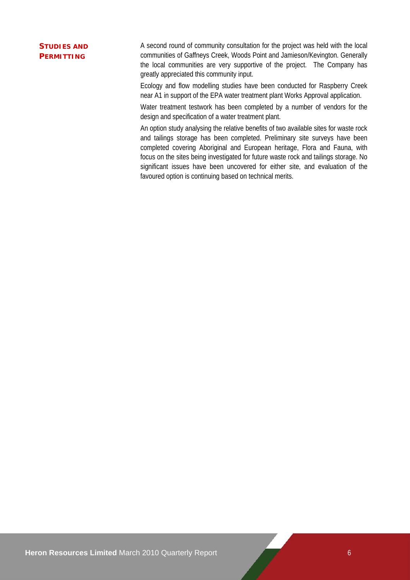## **STUDIES AND PERMITTING**

A second round of community consultation for the project was held with the local communities of Gaffneys Creek, Woods Point and Jamieson/Kevington. Generally the local communities are very supportive of the project. The Company has greatly appreciated this community input.

Ecology and flow modelling studies have been conducted for Raspberry Creek near A1 in support of the EPA water treatment plant Works Approval application.

Water treatment testwork has been completed by a number of vendors for the design and specification of a water treatment plant.

An option study analysing the relative benefits of two available sites for waste rock and tailings storage has been completed. Preliminary site surveys have been completed covering Aboriginal and European heritage, Flora and Fauna, with focus on the sites being investigated for future waste rock and tailings storage. No significant issues have been uncovered for either site, and evaluation of the favoured option is continuing based on technical merits.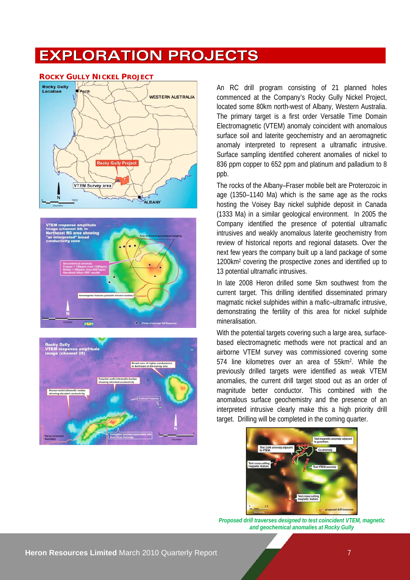# **EXPLORATION PROJECTS**



#### **ROCKY GULLY NICKEL PROJECT**





An RC drill program consisting of 21 planned holes commenced at the Company's Rocky Gully Nickel Project, located some 80km north-west of Albany, Western Australia. The primary target is a first order Versatile Time Domain Electromagnetic (VTEM) anomaly coincident with anomalous surface soil and laterite geochemistry and an aeromagnetic anomaly interpreted to represent a ultramafic intrusive. Surface sampling identified coherent anomalies of nickel to 836 ppm copper to 652 ppm and platinum and palladium to 8 ppb.

The rocks of the Albany–Fraser mobile belt are Proterozoic in age (1350–1140 Ma) which is the same age as the rocks hosting the Voisey Bay nickel sulphide deposit in Canada (1333 Ma) in a similar geological environment. In 2005 the Company identified the presence of potential ultramafic intrusives and weakly anomalous laterite geochemistry from review of historical reports and regional datasets. Over the next few years the company built up a land package of some 1200km2 covering the prospective zones and identified up to 13 potential ultramafic intrusives.

In late 2008 Heron drilled some 5km southwest from the current target. This drilling identified disseminated primary magmatic nickel sulphides within a mafic–ultramafic intrusive, demonstrating the fertility of this area for nickel sulphide mineralisation.

With the potential targets covering such a large area, surfacebased electromagnetic methods were not practical and an airborne VTEM survey was commissioned covering some 574 line kilometres over an area of 55km2. While the previously drilled targets were identified as weak VTEM anomalies, the current drill target stood out as an order of magnitude better conductor. This combined with the anomalous surface geochemistry and the presence of an interpreted intrusive clearly make this a high priority drill target. Drilling will be completed in the coming quarter.



*Proposed drill traverses designed to test coincident VTEM, magnetic and geochemical anomalies at Rocky Gully*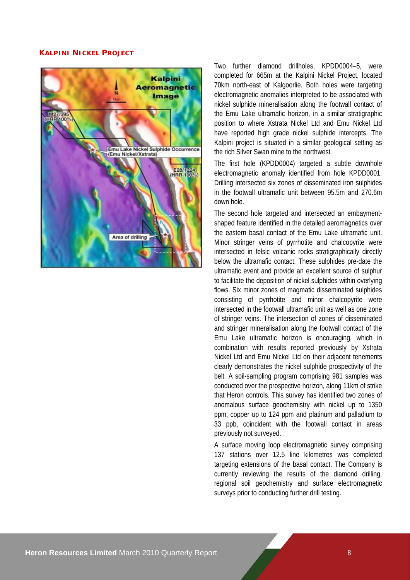### **KALPINI NICKEL PROJECT**



Two further diamond drillholes, KPDD0004–5, were completed for 665m at the Kalpini Nickel Project, located 70km north-east of Kalgoorlie. Both holes were targeting electromagnetic anomalies interpreted to be associated with nickel sulphide mineralisation along the footwall contact of the Emu Lake ultramafic horizon, in a similar stratigraphic position to where Xstrata Nickel Ltd and Emu Nickel Ltd have reported high grade nickel sulphide intercepts. The Kalpini project is situated in a similar geological setting as the rich Silver Swan mine to the northwest.

The first hole (KPDD0004) targeted a subtle downhole electromagnetic anomaly identified from hole KPDD0001. Drilling intersected six zones of disseminated iron sulphides in the footwall ultramafic unit between 95.5m and 270.6m down hole.

The second hole targeted and intersected an embaymentshaped feature identified in the detailed aeromagnetics over the eastern basal contact of the Emu Lake ultramafic unit. Minor stringer veins of pyrrhotite and chalcopyrite were intersected in felsic volcanic rocks stratigraphically directly below the ultramafic contact. These sulphides pre-date the ultramafic event and provide an excellent source of sulphur to facilitate the deposition of nickel sulphides within overlying flows. Six minor zones of magmatic disseminated sulphides consisting of pyrrhotite and minor chalcopyrite were intersected in the footwall ultramafic unit as well as one zone of stringer veins. The intersection of zones of disseminated and stringer mineralisation along the footwall contact of the Emu Lake ultramafic horizon is encouraging, which in combination with results reported previously by Xstrata Nickel Ltd and Emu Nickel Ltd on their adjacent tenements clearly demonstrates the nickel sulphide prospectivity of the belt. A soil-sampling program comprising 981 samples was conducted over the prospective horizon, along 11km of strike that Heron controls. This survey has identified two zones of anomalous surface geochemistry with nickel up to 1350 ppm, copper up to 124 ppm and platinum and palladium to 33 ppb, coincident with the footwall contact in areas previously not surveyed.

A surface moving loop electromagnetic survey comprising 137 stations over 12.5 line kilometres was completed targeting extensions of the basal contact. The Company is currently reviewing the results of the diamond drilling, regional soil geochemistry and surface electromagnetic surveys prior to conducting further drill testing.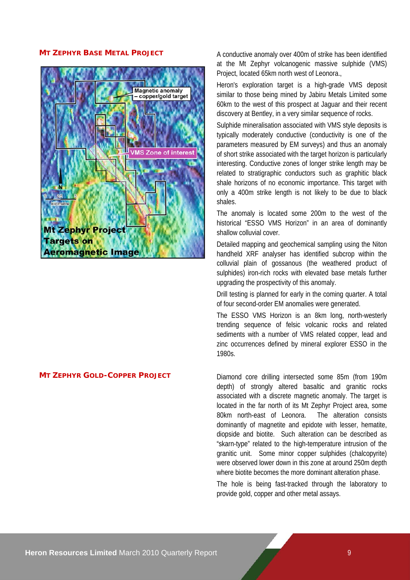

**MT ZEPHYR BASE METAL PROJECT** A conductive anomaly over 400m of strike has been identified at the Mt Zephyr volcanogenic massive sulphide (VMS) Project, located 65km north west of Leonora.,

> Heron's exploration target is a high-grade VMS deposit similar to those being mined by Jabiru Metals Limited some 60km to the west of this prospect at Jaguar and their recent discovery at Bentley, in a very similar sequence of rocks.

> Sulphide mineralisation associated with VMS style deposits is typically moderately conductive (conductivity is one of the parameters measured by EM surveys) and thus an anomaly of short strike associated with the target horizon is particularly interesting. Conductive zones of longer strike length may be related to stratigraphic conductors such as graphitic black shale horizons of no economic importance. This target with only a 400m strike length is not likely to be due to black shales.

> The anomaly is located some 200m to the west of the historical "ESSO VMS Horizon" in an area of dominantly shallow colluvial cover.

> Detailed mapping and geochemical sampling using the Niton handheld XRF analyser has identified subcrop within the colluvial plain of gossanous (the weathered product of sulphides) iron-rich rocks with elevated base metals further upgrading the prospectivity of this anomaly.

> Drill testing is planned for early in the coming quarter. A total of four second-order EM anomalies were generated.

> The ESSO VMS Horizon is an 8km long, north-westerly trending sequence of felsic volcanic rocks and related sediments with a number of VMS related copper, lead and zinc occurrences defined by mineral explorer ESSO in the 1980s.

**MT ZEPHYR GOLD-COPPER PROJECT** Diamond core drilling intersected some 85m (from 190m depth) of strongly altered basaltic and granitic rocks associated with a discrete magnetic anomaly. The target is located in the far north of its Mt Zephyr Project area, some 80km north-east of Leonora. The alteration consists dominantly of magnetite and epidote with lesser, hematite, diopside and biotite. Such alteration can be described as "skarn-type" related to the high-temperature intrusion of the granitic unit. Some minor copper sulphides (chalcopyrite) were observed lower down in this zone at around 250m depth where biotite becomes the more dominant alteration phase.

> The hole is being fast-tracked through the laboratory to provide gold, copper and other metal assays.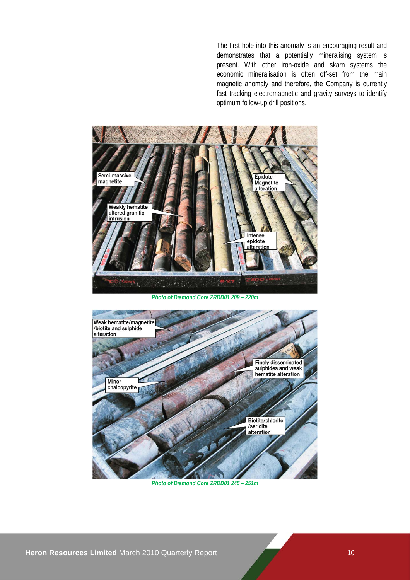The first hole into this anomaly is an encouraging result and demonstrates that a potentially mineralising system is present. With other iron-oxide and skarn systems the economic mineralisation is often off-set from the main magnetic anomaly and therefore, the Company is currently fast tracking electromagnetic and gravity surveys to identify optimum follow-up drill positions.



*Photo of Diamond Core ZRDD01 209 – 220m* 



*Photo of Diamond Core ZRDD01 245 – 251m*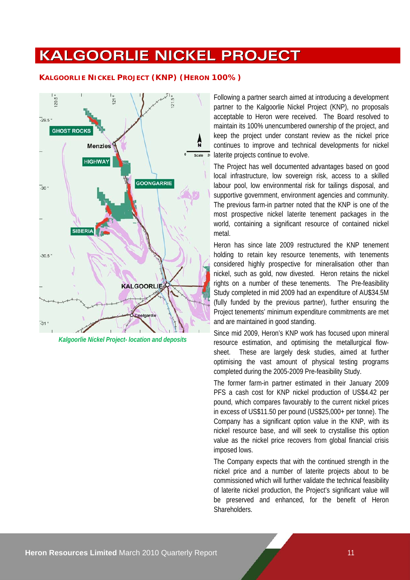# **KALGOORLIE NICKEL PROJECT**

## **KALGOORLIE NICKEL PROJECT (KNP) (HERON 100%)**



*Kalgoorlie Nickel Project- location and deposits*

Following a partner search aimed at introducing a development partner to the Kalgoorlie Nickel Project (KNP), no proposals acceptable to Heron were received. The Board resolved to maintain its 100% unencumbered ownership of the project, and keep the project under constant review as the nickel price continues to improve and technical developments for nickel laterite projects continue to evolve.

The Project has well documented advantages based on good local infrastructure, low sovereign risk, access to a skilled labour pool, low environmental risk for tailings disposal, and supportive government, environment agencies and community. The previous farm-in partner noted that the KNP is one of the most prospective nickel laterite tenement packages in the world, containing a significant resource of contained nickel metal.

Heron has since late 2009 restructured the KNP tenement holding to retain key resource tenements, with tenements considered highly prospective for mineralisation other than nickel, such as gold, now divested. Heron retains the nickel rights on a number of these tenements. The Pre-feasibility Study completed in mid 2009 had an expenditure of AU\$34.5M (fully funded by the previous partner), further ensuring the Project tenements' minimum expenditure commitments are met and are maintained in good standing.

Since mid 2009, Heron's KNP work has focused upon mineral resource estimation, and optimising the metallurgical flowsheet. These are largely desk studies, aimed at further optimising the vast amount of physical testing programs completed during the 2005-2009 Pre-feasibility Study.

The former farm-in partner estimated in their January 2009 PFS a cash cost for KNP nickel production of US\$4.42 per pound, which compares favourably to the current nickel prices in excess of US\$11.50 per pound (US\$25,000+ per tonne). The Company has a significant option value in the KNP, with its nickel resource base, and will seek to crystallise this option value as the nickel price recovers from global financial crisis imposed lows.

The Company expects that with the continued strength in the nickel price and a number of laterite projects about to be commissioned which will further validate the technical feasibility of laterite nickel production, the Project's significant value will be preserved and enhanced, for the benefit of Heron **Shareholders**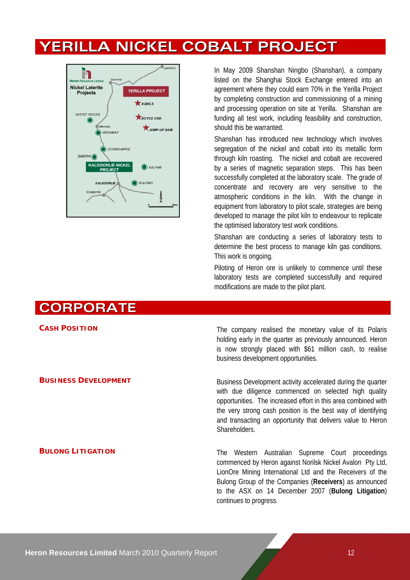# **YERILLA NICKEL COBALT PROJECT**



In May 2009 Shanshan Ningbo (Shanshan), a company listed on the Shanghai Stock Exchange entered into an agreement where they could earn 70% in the Yerilla Project by completing construction and commissioning of a mining and processing operation on site at Yerilla. Shanshan are funding all test work, including feasibility and construction, should this be warranted.

Shanshan has introduced new technology which involves segregation of the nickel and cobalt into its metallic form through kiln roasting. The nickel and cobalt are recovered by a series of magnetic separation steps. This has been successfully completed at the laboratory scale. The grade of concentrate and recovery are very sensitive to the atmospheric conditions in the kiln. With the change in equipment from laboratory to pilot scale, strategies are being developed to manage the pilot kiln to endeavour to replicate the optimised laboratory test work conditions.

Shanshan are conducting a series of laboratory tests to determine the best process to manage kiln gas conditions. This work is ongoing.

Piloting of Heron ore is unlikely to commence until these laboratory tests are completed successfully and required modifications are made to the pilot plant.

# **CORPORATE**

**CASH POSITION** CASH **POSITION** The company realised the monetary value of its Polaris holding early in the quarter as previously announced. Heron is now strongly placed with \$61 million cash, to realise business development opportunities.

**BUSINESS DEVELOPMENT** Business Development activity accelerated during the quarter with due diligence commenced on selected high quality opportunities. The increased effort in this area combined with the very strong cash position is the best way of identifying and transacting an opportunity that delivers value to Heron **Shareholders** 

**BULONG LITIGATION** The Western Australian Supreme Court proceedings commenced by Heron against Norilsk Nickel Avalon Pty Ltd, LionOre Mining International Ltd and the Receivers of the Bulong Group of the Companies (**Receivers**) as announced to the ASX on 14 December 2007 (**Bulong Litigation**) continues to progress.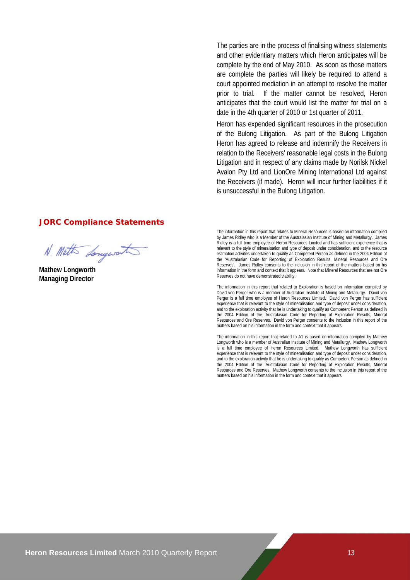The parties are in the process of finalising witness statements and other evidentiary matters which Heron anticipates will be complete by the end of May 2010. As soon as those matters are complete the parties will likely be required to attend a court appointed mediation in an attempt to resolve the matter prior to trial. If the matter cannot be resolved, Heron anticipates that the court would list the matter for trial on a date in the 4th quarter of 2010 or 1st quarter of 2011.

Heron has expended significant resources in the prosecution of the Bulong Litigation. As part of the Bulong Litigation Heron has agreed to release and indemnify the Receivers in relation to the Receivers' reasonable legal costs in the Bulong Litigation and in respect of any claims made by Norilsk Nickel Avalon Pty Ltd and LionOre Mining International Ltd against the Receivers (if made). Heron will incur further liabilities if it is unsuccessful in the Bulong Litigation.

### **JORC Compliance Statements**

N. Math Longwort

**Mathew Longworth Managing Director** 

The information in this report that relates to Mineral Resources is based on information compiled by James Ridley who is a Member of the Australasian Institute of Mining and Metallurgy. James Ridley is a full time employee of Heron Resources Limited and has sufficient experience that is relevant to the style of mineralisation and type of deposit under consideration, and to the resource estimation activities undertaken to qualify as Competent Person as defined in the 2004 Edition of the 'Australasian Code for Reporting of Exploration Results, Mineral Resources and Ore Reserves'. James Ridley consents to the inclusion in this report of the matters based on his information in the form and context that it appears. Note that Mineral Resources that are not Ore Reserves do not have demonstrated viability.

The information in this report that related to Exploration is based on information compiled by David von Perger who is a member of Australian Institute of Mining and Metallurgy. David von Perger is a full time employee of Heron Resources Limited. David von Perger has sufficient experience that is relevant to the style of mineralisation and type of deposit under consideration, and to the exploration activity that he is undertaking to qualify as Competent Person as defined in the 2004 Edition of the 'Australasian Code for Reporting of Exploration Results, Mineral Resources and Ore Reserves. David von Perger consents to the inclusion in this report of the matters based on his information in the form and context that it appears.

The information in this report that related to A1 is based on information compiled by Mathew Longworth who is a member of Australian Institute of Mining and Metallurgy. Mathew Longworth is a full time employee of Heron Resources Limited. Mathew Longworth has sufficient experience that is relevant to the style of mineralisation and type of deposit under consideration, and to the exploration activity that he is undertaking to qualify as Competent Person as defined in the 2004 Edition of the 'Australasian Code for Reporting of Exploration Results, Mineral Resources and Ore Reserves. Mathew Longworth consents to the inclusion in this report of the matters based on his information in the form and context that it appears.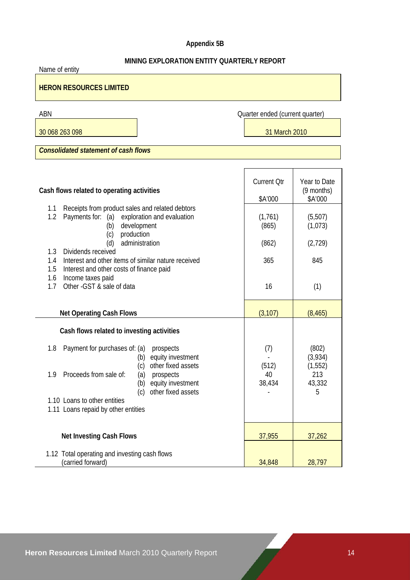## **Appendix 5B**

## **MINING EXPLORATION ENTITY QUARTERLY REPORT**

| Name of entity                                                                                                                            |                                 |                                       |  |  |
|-------------------------------------------------------------------------------------------------------------------------------------------|---------------------------------|---------------------------------------|--|--|
| <b>HERON RESOURCES LIMITED</b>                                                                                                            |                                 |                                       |  |  |
| ABN                                                                                                                                       | Quarter ended (current quarter) |                                       |  |  |
| 30 068 263 098                                                                                                                            | 31 March 2010                   |                                       |  |  |
| <b>Consolidated statement of cash flows</b>                                                                                               |                                 |                                       |  |  |
|                                                                                                                                           |                                 |                                       |  |  |
| Cash flows related to operating activities                                                                                                | <b>Current Qtr</b><br>\$A'000   | Year to Date<br>(9 months)<br>\$A'000 |  |  |
| Receipts from product sales and related debtors<br>1.1<br>1.2<br>Payments for:<br>exploration and evaluation<br>(a)<br>development<br>(b) | (1,761)<br>(865)                | (5,507)<br>(1,073)                    |  |  |
| production<br>(c)<br>administration<br>(d)<br>1.3<br>Dividends received                                                                   | (862)                           | (2,729)                               |  |  |
| Interest and other items of similar nature received<br>1.4<br>1.5<br>Interest and other costs of finance paid                             | 365                             | 845                                   |  |  |
| 1.6<br>Income taxes paid<br>1.7<br>Other - GST & sale of data                                                                             | 16                              | (1)                                   |  |  |
| <b>Net Operating Cash Flows</b>                                                                                                           | (3, 107)                        | (8, 465)                              |  |  |
| Cash flows related to investing activities                                                                                                |                                 |                                       |  |  |
| Payment for purchases of: (a)<br>1.8<br>prospects<br>equity investment<br>(b)<br>other fixed assets<br>(c)                                | (7)<br>(512)                    | (802)<br>(3,934)<br>(1, 552)          |  |  |
| 1.9<br>Proceeds from sale of:<br>prospects<br>(a)<br>equity investment<br>(b)<br>other fixed assets<br>(c)                                | 40<br>38,434                    | 213<br>43,332<br>5                    |  |  |
| 1.10 Loans to other entities<br>1.11 Loans repaid by other entities                                                                       |                                 |                                       |  |  |
| <b>Net Investing Cash Flows</b>                                                                                                           | 37,955                          | 37,262                                |  |  |
| 1.12 Total operating and investing cash flows<br>(carried forward)                                                                        | 34,848                          | 28,797                                |  |  |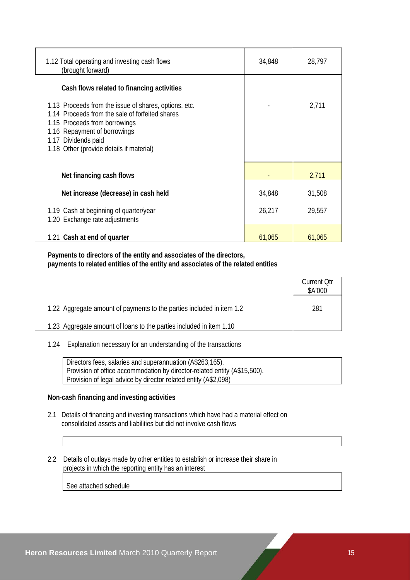| 1.12 Total operating and investing cash flows<br>(brought forward)                                                                                                                                                                           | 34,848 | 28,797 |
|----------------------------------------------------------------------------------------------------------------------------------------------------------------------------------------------------------------------------------------------|--------|--------|
| Cash flows related to financing activities                                                                                                                                                                                                   |        |        |
| 1.13 Proceeds from the issue of shares, options, etc.<br>1.14 Proceeds from the sale of forfeited shares<br>1.15 Proceeds from borrowings<br>1.16 Repayment of borrowings<br>1.17 Dividends paid<br>1.18 Other (provide details if material) |        | 2,711  |
| Net financing cash flows                                                                                                                                                                                                                     |        | 2,711  |
| Net increase (decrease) in cash held                                                                                                                                                                                                         | 34,848 | 31,508 |
| 1.19 Cash at beginning of quarter/year<br>1.20 Exchange rate adjustments                                                                                                                                                                     | 26,217 | 29,557 |
| 1.21 Cash at end of quarter                                                                                                                                                                                                                  | 61,065 | 61,065 |

 **Payments to directors of the entity and associates of the directors, payments to related entities of the entity and associates of the related entities** 

|                                                                       | <b>Current Qtr</b><br>\$A'000 |
|-----------------------------------------------------------------------|-------------------------------|
| 1.22 Aggregate amount of payments to the parties included in item 1.2 | 281                           |
| 1.23 Aggregate amount of loans to the parties included in item 1.10   |                               |

1.24 Explanation necessary for an understanding of the transactions

 Directors fees, salaries and superannuation (A\$263,165). Provision of office accommodation by director-related entity (A\$15,500). Provision of legal advice by director related entity (A\$2,098)

## **Non-cash financing and investing activities**

- 2.1 Details of financing and investing transactions which have had a material effect on consolidated assets and liabilities but did not involve cash flows
- 2.2 Details of outlays made by other entities to establish or increase their share in projects in which the reporting entity has an interest

See attached schedule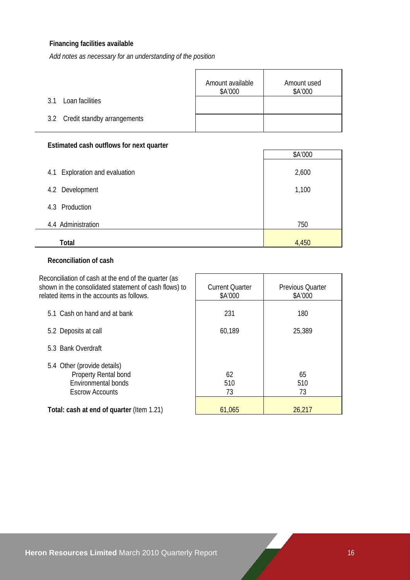## **Financing facilities available**

*Add notes as necessary for an understanding of the position*

|                                 | Amount available<br>\$A'000 | Amount used<br>\$A'000 |
|---------------------------------|-----------------------------|------------------------|
| Loan facilities<br>3.1          |                             |                        |
| 3.2 Credit standby arrangements |                             |                        |

## **Estimated cash outflows for next quarter**

|                                   | \$A'000 |
|-----------------------------------|---------|
| Exploration and evaluation<br>4.1 | 2,600   |
| 4.2 Development                   | 1,100   |
| Production<br>4.3                 |         |
| 4.4 Administration                | 750     |
| Total                             | 4,450   |

## **Reconciliation of cash**

| Reconciliation of cash at the end of the quarter (as<br>shown in the consolidated statement of cash flows) to<br>related items in the accounts as follows. | <b>Current Quarter</b><br>\$A'000 | <b>Previous Quarter</b><br>\$A'000 |
|------------------------------------------------------------------------------------------------------------------------------------------------------------|-----------------------------------|------------------------------------|
| 5.1 Cash on hand and at bank                                                                                                                               | 231                               | 180                                |
| 5.2 Deposits at call                                                                                                                                       | 60,189                            | 25,389                             |
| 5.3 Bank Overdraft                                                                                                                                         |                                   |                                    |
| 5.4 Other (provide details)<br>Property Rental bond<br>Environmental bonds<br><b>Escrow Accounts</b>                                                       | 62<br>510<br>73                   | 65<br>510<br>73                    |
| Total: cash at end of quarter (Item 1.21)                                                                                                                  | 61,065                            | 26,217                             |

 $\overline{\phantom{a}}$ 

 $\Gamma$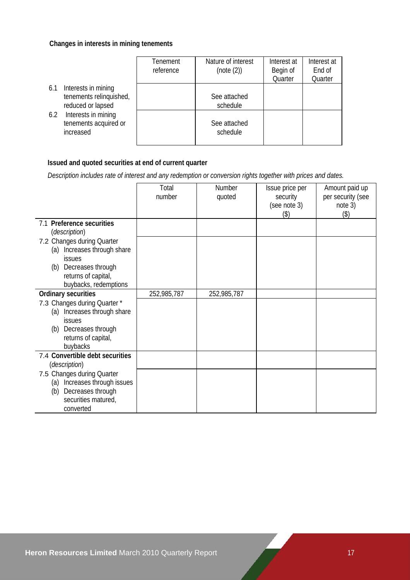## **Changes in interests in mining tenements**

|                                                                            | Tenement<br>reference | Nature of interest<br>(note (2)) | Interest at<br>Begin of<br>Quarter | Interest at<br>End of<br>Quarter |
|----------------------------------------------------------------------------|-----------------------|----------------------------------|------------------------------------|----------------------------------|
| Interests in mining<br>6.1<br>tenements relinquished,<br>reduced or lapsed |                       | See attached<br>schedule         |                                    |                                  |
| Interests in mining<br>6.2<br>tenements acquired or<br>increased           |                       | See attached<br>schedule         |                                    |                                  |

## **Issued and quoted securities at end of current quarter**

 *Description includes rate of interest and any redemption or conversion rights together with prices and dates.* 

|                                                         | Total<br>number | Number      | Issue price per          | Amount paid up               |
|---------------------------------------------------------|-----------------|-------------|--------------------------|------------------------------|
|                                                         |                 | quoted      | security<br>(see note 3) | per security (see<br>note 3) |
|                                                         |                 |             | (3)                      | (3)                          |
| 7.1 Preference securities<br>(description)              |                 |             |                          |                              |
| 7.2 Changes during Quarter                              |                 |             |                          |                              |
| Increases through share<br>(a)                          |                 |             |                          |                              |
| issues                                                  |                 |             |                          |                              |
| Decreases through<br>(b)<br>returns of capital,         |                 |             |                          |                              |
| buybacks, redemptions                                   |                 |             |                          |                              |
| <b>Ordinary securities</b>                              | 252,985,787     | 252,985,787 |                          |                              |
| 7.3 Changes during Quarter *                            |                 |             |                          |                              |
| Increases through share<br>(a)                          |                 |             |                          |                              |
| issues                                                  |                 |             |                          |                              |
| Decreases through<br>(b)                                |                 |             |                          |                              |
| returns of capital,                                     |                 |             |                          |                              |
| buybacks                                                |                 |             |                          |                              |
| 7.4 Convertible debt securities<br><i>(description)</i> |                 |             |                          |                              |
| 7.5 Changes during Quarter                              |                 |             |                          |                              |
| (a) Increases through issues                            |                 |             |                          |                              |
| Decreases through<br>(b)                                |                 |             |                          |                              |
| securities matured,                                     |                 |             |                          |                              |
| converted                                               |                 |             |                          |                              |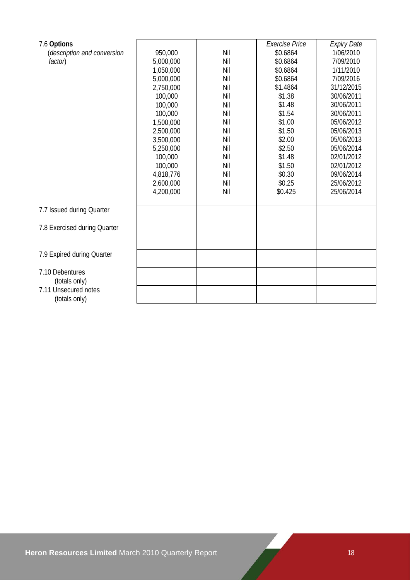| 7.6 Options                  |           |     | Exercise Price | <b>Expiry Date</b> |
|------------------------------|-----------|-----|----------------|--------------------|
| (description and conversion  | 950,000   | Nil | \$0.6864       | 1/06/2010          |
| factor)                      | 5,000,000 | Nil | \$0.6864       | 7/09/2010          |
|                              | 1,050,000 | Nil | \$0.6864       | 1/11/2010          |
|                              | 5,000,000 | Nil | \$0.6864       | 7/09/2016          |
|                              | 2,750,000 | Nil | \$1.4864       | 31/12/2015         |
|                              | 100,000   | Nil | \$1.38         | 30/06/2011         |
|                              | 100,000   | Nil | \$1.48         | 30/06/2011         |
|                              | 100,000   | Nil | \$1.54         | 30/06/2011         |
|                              | 1,500,000 | Nil | \$1.00         | 05/06/2012         |
|                              | 2,500,000 | Nil | \$1.50         | 05/06/2013         |
|                              | 3,500,000 | Nil | \$2.00         | 05/06/2013         |
|                              | 5,250,000 | Nil | \$2.50         | 05/06/2014         |
|                              | 100,000   | Nil | \$1.48         | 02/01/2012         |
|                              | 100,000   | Nil | \$1.50         | 02/01/2012         |
|                              | 4,818,776 | Nil | \$0.30         | 09/06/2014         |
|                              | 2,600,000 | Nil | \$0.25         | 25/06/2012         |
|                              | 4,200,000 | Nil | \$0.425        | 25/06/2014         |
| 7.7 Issued during Quarter    |           |     |                |                    |
|                              |           |     |                |                    |
| 7.8 Exercised during Quarter |           |     |                |                    |
|                              |           |     |                |                    |
| 7.9 Expired during Quarter   |           |     |                |                    |
|                              |           |     |                |                    |
| 7.10 Debentures              |           |     |                |                    |
| (totals only)                |           |     |                |                    |
| 7.11 Unsecured notes         |           |     |                |                    |
| (totals only)                |           |     |                |                    |
|                              |           |     |                |                    |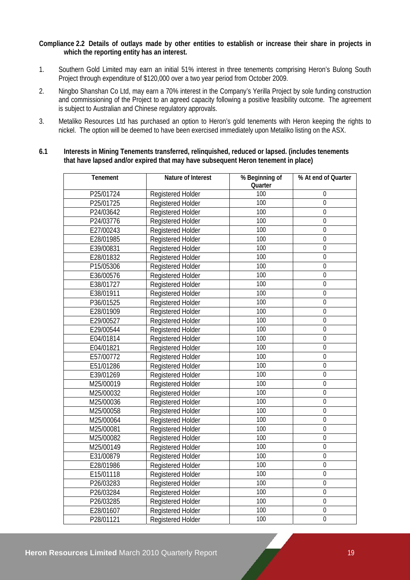## **Compliance 2.2 Details of outlays made by other entities to establish or increase their share in projects in which the reporting entity has an interest.**

- 1. Southern Gold Limited may earn an initial 51% interest in three tenements comprising Heron's Bulong South Project through expenditure of \$120,000 over a two year period from October 2009.
- 2. Ningbo Shanshan Co Ltd, may earn a 70% interest in the Company's Yerilla Project by sole funding construction and commissioning of the Project to an agreed capacity following a positive feasibility outcome. The agreement is subject to Australian and Chinese regulatory approvals.
- 3. Metaliko Resources Ltd has purchased an option to Heron's gold tenements with Heron keeping the rights to nickel. The option will be deemed to have been exercised immediately upon Metaliko listing on the ASX.

## **6.1 Interests in Mining Tenements transferred, relinquished, reduced or lapsed. (includes tenements that have lapsed and/or expired that may have subsequent Heron tenement in place)**

| Tenement  | Nature of Interest       | % Beginning of | % At end of Quarter |
|-----------|--------------------------|----------------|---------------------|
|           |                          | Quarter        |                     |
| P25/01724 | Registered Holder        | 100            | 0                   |
| P25/01725 | <b>Registered Holder</b> | 100            | $\mathbf 0$         |
| P24/03642 | Registered Holder        | 100            | $\boldsymbol{0}$    |
| P24/03776 | <b>Registered Holder</b> | 100            | $\overline{0}$      |
| E27/00243 | Registered Holder        | 100            | $\overline{0}$      |
| E28/01985 | Registered Holder        | 100            | $\overline{0}$      |
| E39/00831 | Registered Holder        | 100            | $\mathbf 0$         |
| E28/01832 | Registered Holder        | 100            | $\boldsymbol{0}$    |
| P15/05306 | Registered Holder        | 100            | $\mathbf 0$         |
| E36/00576 | Registered Holder        | 100            | $\mathbf 0$         |
| E38/01727 | Registered Holder        | 100            | $\overline{0}$      |
| E38/01911 | Registered Holder        | 100            | $\mathbf 0$         |
| P36/01525 | Registered Holder        | 100            | $\boldsymbol{0}$    |
| E28/01909 | <b>Registered Holder</b> | 100            | $\mathbf 0$         |
| E29/00527 | Registered Holder        | 100            | $\mathbf 0$         |
| E29/00544 | Registered Holder        | 100            | $\mathbf 0$         |
| E04/01814 | Registered Holder        | 100            | $\mathbf 0$         |
| E04/01821 | Registered Holder        | 100            | $\mathbf 0$         |
| E57/00772 | Registered Holder        | 100            | $\boldsymbol{0}$    |
| E51/01286 | Registered Holder        | 100            | $\overline{0}$      |
| E39/01269 | Registered Holder        | 100            | $\overline{0}$      |
| M25/00019 | Registered Holder        | 100            | $\mathbf 0$         |
| M25/00032 | Registered Holder        | 100            | $\mathbf 0$         |
| M25/00036 | Registered Holder        | 100            | $\overline{0}$      |
| M25/00058 | Registered Holder        | 100            | $\boldsymbol{0}$    |
| M25/00064 | Registered Holder        | 100            | $\boldsymbol{0}$    |
| M25/00081 | Registered Holder        | 100            | $\boldsymbol{0}$    |
| M25/00082 | Registered Holder        | 100            | $\mathbf 0$         |
| M25/00149 | Registered Holder        | 100            | $\boldsymbol{0}$    |
| E31/00879 | Registered Holder        | 100            | $\boldsymbol{0}$    |
| E28/01986 | <b>Registered Holder</b> | 100            | $\overline{0}$      |
| E15/01118 | <b>Registered Holder</b> | 100            | $\boldsymbol{0}$    |
| P26/03283 | Registered Holder        | 100            | $\mathbf 0$         |
| P26/03284 | Registered Holder        | 100            | $\overline{0}$      |
| P26/03285 | Registered Holder        | 100            | $\boldsymbol{0}$    |
| E28/01607 | Registered Holder        | 100            | $\mathbf 0$         |
| P28/01121 | Registered Holder        | 100            | $\mathbf 0$         |